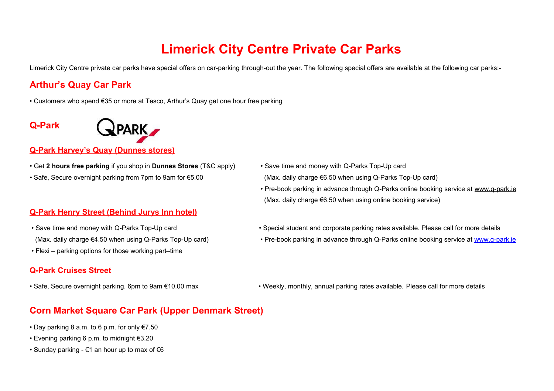# **Limerick City Centre Private Car Parks**

Limerick City Centre private car parks have special offers on car-parking through-out the year. The following special offers are available at the following car parks:-

## **Arthur's Quay Car Park**

• Customers who spend €35 or more at Tesco, Arthur's Quay get one hour free parking

## **Q-Park**



#### **Q-Park Harvey's Quay (Dunnes stores)**

- Get **2 hours free parking** if you shop in **Dunnes Stores** (T&C apply) Save time and money with Q-Parks Top-Up card
- 

#### **Q-Park Henry Street (Behind Jurys Inn hotel)**

- 
- Flexi parking options for those working part–time

#### **Q-Park Cruises Street**

### **Corn Market Square Car Park (Upper Denmark Street)**

- Day parking 8 a.m. to 6 p.m. for only  $E$ 7.50
- Evening parking 6 p.m. to midnight €3.20
- Sunday parking  $€1$  an hour up to max of  $€6$
- Safe, Secure overnight parking from 7pm to 9am for €5.00 (Max. daily charge €6.50 when using Q-Parks Top-Up card)
	- Pre-book parking in advance through Q-Parks online booking service at [www.q-park.ie](http://www.q-park.ie/) (Max. daily charge €6.50 when using online booking service)
- Save time and money with Q-Parks Top-Up card example and the Special student and corporate parking rates available. Please call for more details
- (Max. daily charge €4.50 when using Q-Parks Top-Up card) Pre-book parking in advance through Q-Parks online booking service at [www.q-park.ie](http://www.q-park.ie/)
- Safe, Secure overnight parking. 6pm to 9am €10.00 max Weekly, monthly, annual parking rates available. Please call for more details